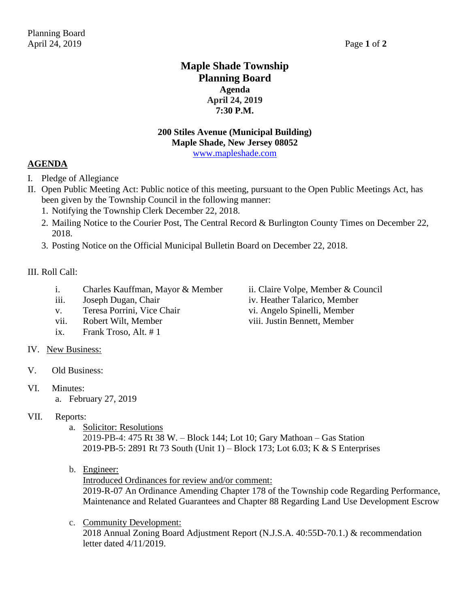## **Maple Shade Township Planning Board Agenda April 24, 2019 7:30 P.M.**

# **200 Stiles Avenue (Municipal Building) Maple Shade, New Jersey 08052**

[www.mapleshade.com](http://www.mapleshade.com/)

## **AGENDA**

- I. Pledge of Allegiance
- II. Open Public Meeting Act: Public notice of this meeting, pursuant to the Open Public Meetings Act, has been given by the Township Council in the following manner:
	- 1. Notifying the Township Clerk December 22, 2018.
	- 2. Mailing Notice to the Courier Post, The Central Record & Burlington County Times on December 22, 2018.
	- 3. Posting Notice on the Official Municipal Bulletin Board on December 22, 2018.

### III. Roll Call:

- i. Charles Kauffman, Mayor & Member ii. Claire Volpe, Member & Council
- 
- v. Teresa Porrini, Vice Chair vi. Angelo Spinelli, Member
- vii. Robert Wilt, Member viii. Justin Bennett, Member
- ix. Frank Troso, Alt. # 1
- IV. New Business:
- V. Old Business:
- VI. Minutes:
	- a. February 27, 2019

### VII. Reports:

a. Solicitor: Resolutions

2019-PB-4: 475 Rt 38 W. – Block 144; Lot 10; Gary Mathoan – Gas Station 2019-PB-5: 2891 Rt 73 South (Unit 1) – Block 173; Lot 6.03; K & S Enterprises

b. Engineer:

Introduced Ordinances for review and/or comment:

2019-R-07 An Ordinance Amending Chapter 178 of the Township code Regarding Performance, Maintenance and Related Guarantees and Chapter 88 Regarding Land Use Development Escrow

c. Community Development:

2018 Annual Zoning Board Adjustment Report (N.J.S.A. 40:55D-70.1.) & recommendation letter dated 4/11/2019.

iii. Joseph Dugan, Chair iv. Heather Talarico, Member